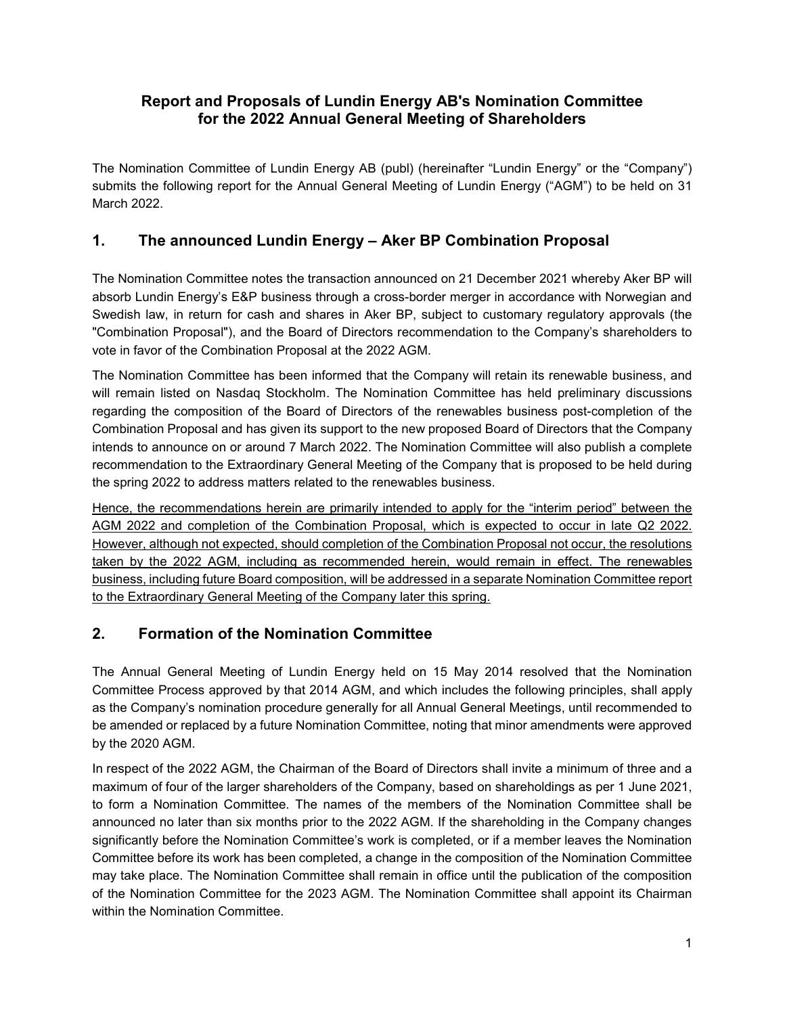## **Report and Proposals of Lundin Energy AB's Nomination Committee for the 2022 Annual General Meeting of Shareholders**

The Nomination Committee of Lundin Energy AB (publ) (hereinafter "Lundin Energy" or the "Company") submits the following report for the Annual General Meeting of Lundin Energy ("AGM") to be held on 31 March 2022.

## **1. The announced Lundin Energy – Aker BP Combination Proposal**

The Nomination Committee notes the transaction announced on 21 December 2021 whereby Aker BP will absorb Lundin Energy's E&P business through a cross-border merger in accordance with Norwegian and Swedish law, in return for cash and shares in Aker BP, subject to customary regulatory approvals (the "Combination Proposal"), and the Board of Directors recommendation to the Company's shareholders to vote in favor of the Combination Proposal at the 2022 AGM.

The Nomination Committee has been informed that the Company will retain its renewable business, and will remain listed on Nasdaq Stockholm. The Nomination Committee has held preliminary discussions regarding the composition of the Board of Directors of the renewables business post-completion of the Combination Proposal and has given its support to the new proposed Board of Directors that the Company intends to announce on or around 7 March 2022. The Nomination Committee will also publish a complete recommendation to the Extraordinary General Meeting of the Company that is proposed to be held during the spring 2022 to address matters related to the renewables business.

Hence, the recommendations herein are primarily intended to apply for the "interim period" between the AGM 2022 and completion of the Combination Proposal, which is expected to occur in late Q2 2022. However, although not expected, should completion of the Combination Proposal not occur, the resolutions taken by the 2022 AGM, including as recommended herein, would remain in effect. The renewables business, including future Board composition, will be addressed in a separate Nomination Committee report to the Extraordinary General Meeting of the Company later this spring.

## **2. Formation of the Nomination Committee**

The Annual General Meeting of Lundin Energy held on 15 May 2014 resolved that the Nomination Committee Process approved by that 2014 AGM, and which includes the following principles, shall apply as the Company's nomination procedure generally for all Annual General Meetings, until recommended to be amended or replaced by a future Nomination Committee, noting that minor amendments were approved by the 2020 AGM.

In respect of the 2022 AGM, the Chairman of the Board of Directors shall invite a minimum of three and a maximum of four of the larger shareholders of the Company, based on shareholdings as per 1 June 2021, to form a Nomination Committee. The names of the members of the Nomination Committee shall be announced no later than six months prior to the 2022 AGM. If the shareholding in the Company changes significantly before the Nomination Committee's work is completed, or if a member leaves the Nomination Committee before its work has been completed, a change in the composition of the Nomination Committee may take place. The Nomination Committee shall remain in office until the publication of the composition of the Nomination Committee for the 2023 AGM. The Nomination Committee shall appoint its Chairman within the Nomination Committee.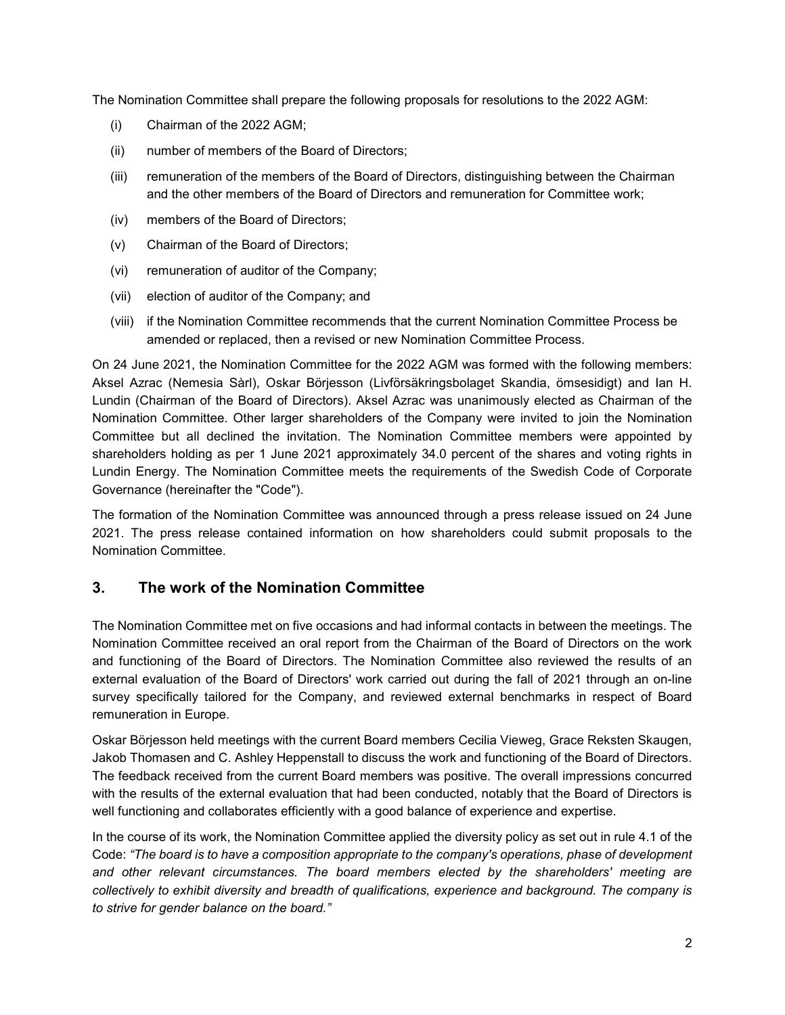The Nomination Committee shall prepare the following proposals for resolutions to the 2022 AGM:

- (i) Chairman of the 2022 AGM;
- (ii) number of members of the Board of Directors;
- (iii) remuneration of the members of the Board of Directors, distinguishing between the Chairman and the other members of the Board of Directors and remuneration for Committee work;
- (iv) members of the Board of Directors;
- (v) Chairman of the Board of Directors;
- (vi) remuneration of auditor of the Company;
- (vii) election of auditor of the Company; and
- (viii) if the Nomination Committee recommends that the current Nomination Committee Process be amended or replaced, then a revised or new Nomination Committee Process.

On 24 June 2021, the Nomination Committee for the 2022 AGM was formed with the following members: Aksel Azrac (Nemesia Sàrl), Oskar Börjesson (Livförsäkringsbolaget Skandia, ömsesidigt) and Ian H. Lundin (Chairman of the Board of Directors). Aksel Azrac was unanimously elected as Chairman of the Nomination Committee. Other larger shareholders of the Company were invited to join the Nomination Committee but all declined the invitation. The Nomination Committee members were appointed by shareholders holding as per 1 June 2021 approximately 34.0 percent of the shares and voting rights in Lundin Energy. The Nomination Committee meets the requirements of the Swedish Code of Corporate Governance (hereinafter the "Code").

The formation of the Nomination Committee was announced through a press release issued on 24 June 2021. The press release contained information on how shareholders could submit proposals to the Nomination Committee.

## **3. The work of the Nomination Committee**

The Nomination Committee met on five occasions and had informal contacts in between the meetings. The Nomination Committee received an oral report from the Chairman of the Board of Directors on the work and functioning of the Board of Directors. The Nomination Committee also reviewed the results of an external evaluation of the Board of Directors' work carried out during the fall of 2021 through an on-line survey specifically tailored for the Company, and reviewed external benchmarks in respect of Board remuneration in Europe.

Oskar Börjesson held meetings with the current Board members Cecilia Vieweg, Grace Reksten Skaugen, Jakob Thomasen and C. Ashley Heppenstall to discuss the work and functioning of the Board of Directors. The feedback received from the current Board members was positive. The overall impressions concurred with the results of the external evaluation that had been conducted, notably that the Board of Directors is well functioning and collaborates efficiently with a good balance of experience and expertise.

In the course of its work, the Nomination Committee applied the diversity policy as set out in rule 4.1 of the Code: *"The board is to have a composition appropriate to the company's operations, phase of development and other relevant circumstances. The board members elected by the shareholders' meeting are collectively to exhibit diversity and breadth of qualifications, experience and background. The company is to strive for gender balance on the board."*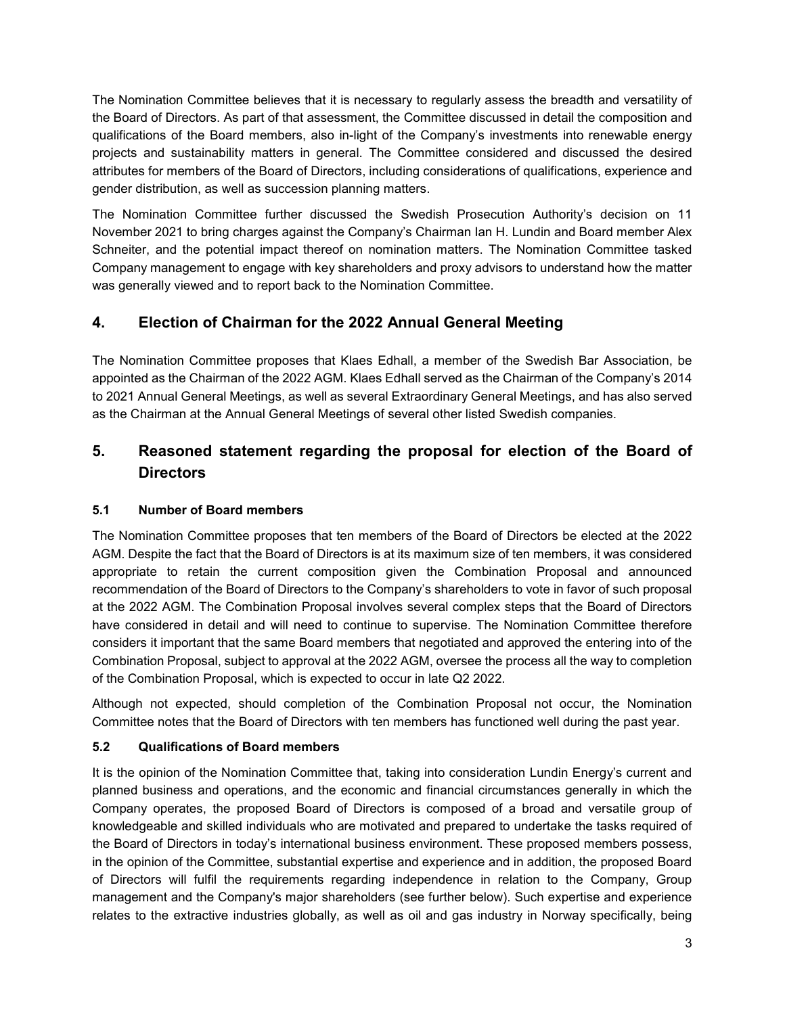The Nomination Committee believes that it is necessary to regularly assess the breadth and versatility of the Board of Directors. As part of that assessment, the Committee discussed in detail the composition and qualifications of the Board members, also in-light of the Company's investments into renewable energy projects and sustainability matters in general. The Committee considered and discussed the desired attributes for members of the Board of Directors, including considerations of qualifications, experience and gender distribution, as well as succession planning matters.

The Nomination Committee further discussed the Swedish Prosecution Authority's decision on 11 November 2021 to bring charges against the Company's Chairman Ian H. Lundin and Board member Alex Schneiter, and the potential impact thereof on nomination matters. The Nomination Committee tasked Company management to engage with key shareholders and proxy advisors to understand how the matter was generally viewed and to report back to the Nomination Committee.

## **4. Election of Chairman for the 2022 Annual General Meeting**

The Nomination Committee proposes that Klaes Edhall, a member of the Swedish Bar Association, be appointed as the Chairman of the 2022 AGM. Klaes Edhall served as the Chairman of the Company's 2014 to 2021 Annual General Meetings, as well as several Extraordinary General Meetings, and has also served as the Chairman at the Annual General Meetings of several other listed Swedish companies.

## **5. Reasoned statement regarding the proposal for election of the Board of Directors**

### **5.1 Number of Board members**

The Nomination Committee proposes that ten members of the Board of Directors be elected at the 2022 AGM. Despite the fact that the Board of Directors is at its maximum size of ten members, it was considered appropriate to retain the current composition given the Combination Proposal and announced recommendation of the Board of Directors to the Company's shareholders to vote in favor of such proposal at the 2022 AGM. The Combination Proposal involves several complex steps that the Board of Directors have considered in detail and will need to continue to supervise. The Nomination Committee therefore considers it important that the same Board members that negotiated and approved the entering into of the Combination Proposal, subject to approval at the 2022 AGM, oversee the process all the way to completion of the Combination Proposal, which is expected to occur in late Q2 2022.

Although not expected, should completion of the Combination Proposal not occur, the Nomination Committee notes that the Board of Directors with ten members has functioned well during the past year.

## **5.2 Qualifications of Board members**

It is the opinion of the Nomination Committee that, taking into consideration Lundin Energy's current and planned business and operations, and the economic and financial circumstances generally in which the Company operates, the proposed Board of Directors is composed of a broad and versatile group of knowledgeable and skilled individuals who are motivated and prepared to undertake the tasks required of the Board of Directors in today's international business environment. These proposed members possess, in the opinion of the Committee, substantial expertise and experience and in addition, the proposed Board of Directors will fulfil the requirements regarding independence in relation to the Company, Group management and the Company's major shareholders (see further below). Such expertise and experience relates to the extractive industries globally, as well as oil and gas industry in Norway specifically, being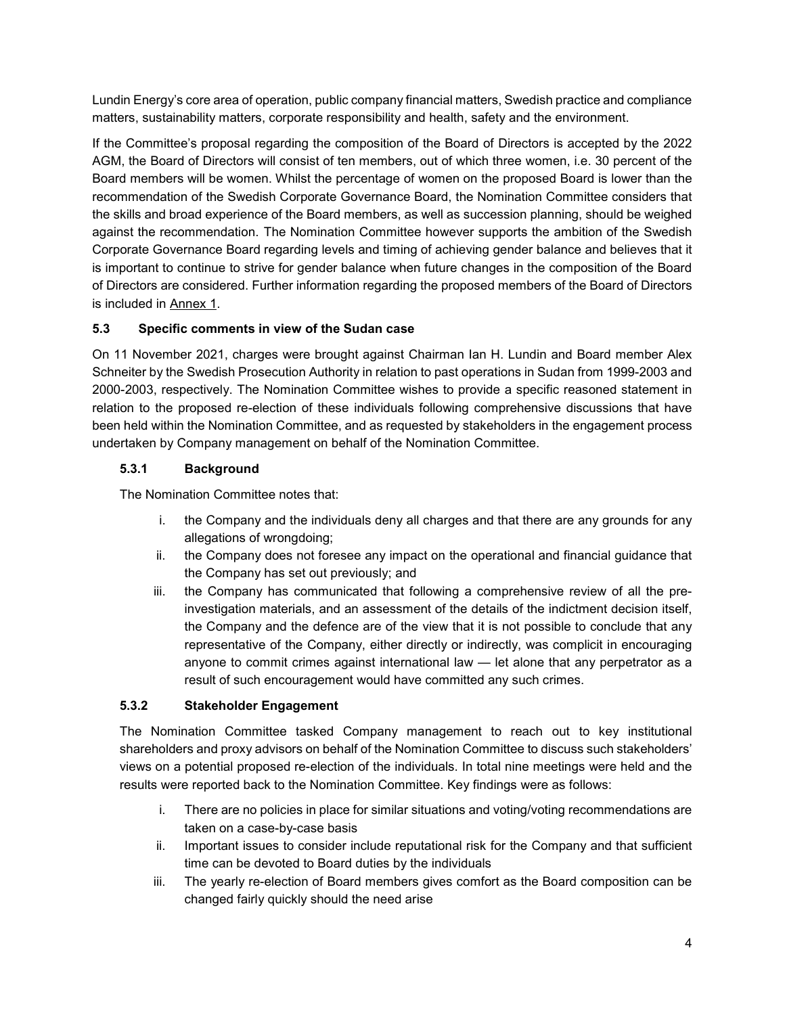Lundin Energy's core area of operation, public company financial matters, Swedish practice and compliance matters, sustainability matters, corporate responsibility and health, safety and the environment.

If the Committee's proposal regarding the composition of the Board of Directors is accepted by the 2022 AGM, the Board of Directors will consist of ten members, out of which three women, i.e. 30 percent of the Board members will be women. Whilst the percentage of women on the proposed Board is lower than the recommendation of the Swedish Corporate Governance Board, the Nomination Committee considers that the skills and broad experience of the Board members, as well as succession planning, should be weighed against the recommendation. The Nomination Committee however supports the ambition of the Swedish Corporate Governance Board regarding levels and timing of achieving gender balance and believes that it is important to continue to strive for gender balance when future changes in the composition of the Board of Directors are considered. Further information regarding the proposed members of the Board of Directors is included in Annex 1.

#### **5.3 Specific comments in view of the Sudan case**

On 11 November 2021, charges were brought against Chairman Ian H. Lundin and Board member Alex Schneiter by the Swedish Prosecution Authority in relation to past operations in Sudan from 1999-2003 and 2000-2003, respectively. The Nomination Committee wishes to provide a specific reasoned statement in relation to the proposed re-election of these individuals following comprehensive discussions that have been held within the Nomination Committee, and as requested by stakeholders in the engagement process undertaken by Company management on behalf of the Nomination Committee.

#### **5.3.1 Background**

The Nomination Committee notes that:

- i. the Company and the individuals deny all charges and that there are any grounds for any allegations of wrongdoing;
- ii. the Company does not foresee any impact on the operational and financial guidance that the Company has set out previously; and
- iii. the Company has communicated that following a comprehensive review of all the preinvestigation materials, and an assessment of the details of the indictment decision itself, the Company and the defence are of the view that it is not possible to conclude that any representative of the Company, either directly or indirectly, was complicit in encouraging anyone to commit crimes against international law — let alone that any perpetrator as a result of such encouragement would have committed any such crimes.

#### **5.3.2 Stakeholder Engagement**

The Nomination Committee tasked Company management to reach out to key institutional shareholders and proxy advisors on behalf of the Nomination Committee to discuss such stakeholders' views on a potential proposed re-election of the individuals. In total nine meetings were held and the results were reported back to the Nomination Committee. Key findings were as follows:

- i. There are no policies in place for similar situations and voting/voting recommendations are taken on a case-by-case basis
- ii. Important issues to consider include reputational risk for the Company and that sufficient time can be devoted to Board duties by the individuals
- iii. The yearly re-election of Board members gives comfort as the Board composition can be changed fairly quickly should the need arise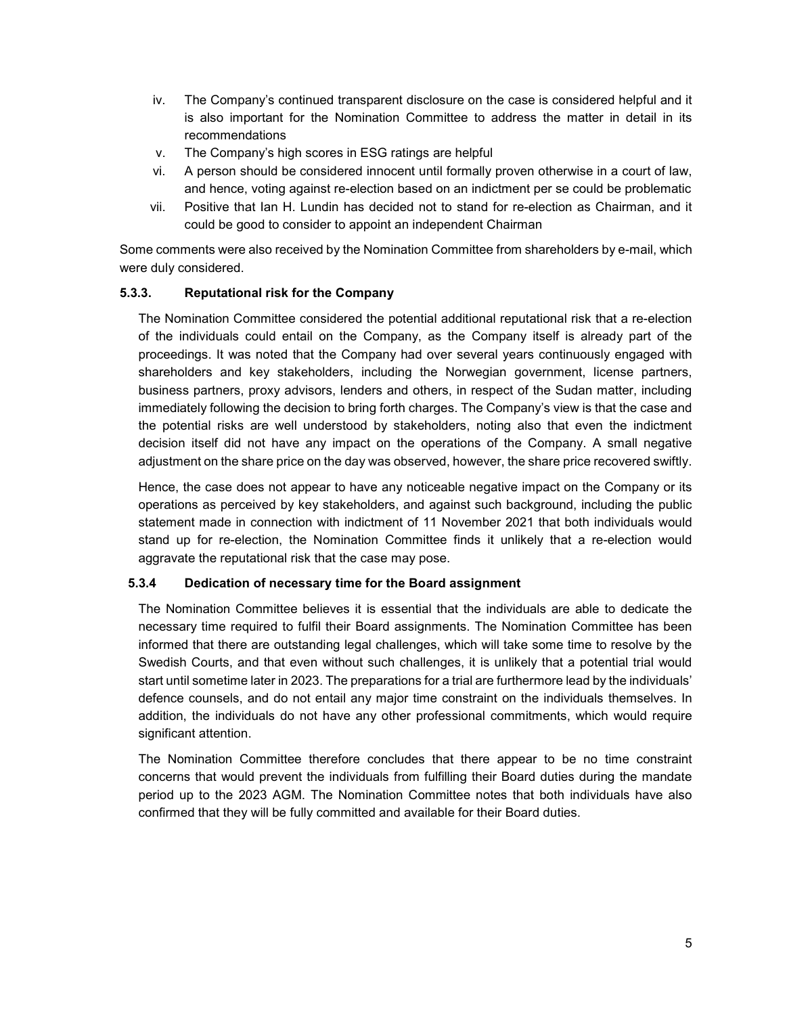- iv. The Company's continued transparent disclosure on the case is considered helpful and it is also important for the Nomination Committee to address the matter in detail in its recommendations
- v. The Company's high scores in ESG ratings are helpful
- vi. A person should be considered innocent until formally proven otherwise in a court of law, and hence, voting against re-election based on an indictment per se could be problematic
- vii. Positive that Ian H. Lundin has decided not to stand for re-election as Chairman, and it could be good to consider to appoint an independent Chairman

Some comments were also received by the Nomination Committee from shareholders by e-mail, which were duly considered.

#### **5.3.3. Reputational risk for the Company**

The Nomination Committee considered the potential additional reputational risk that a re-election of the individuals could entail on the Company, as the Company itself is already part of the proceedings. It was noted that the Company had over several years continuously engaged with shareholders and key stakeholders, including the Norwegian government, license partners, business partners, proxy advisors, lenders and others, in respect of the Sudan matter, including immediately following the decision to bring forth charges. The Company's view is that the case and the potential risks are well understood by stakeholders, noting also that even the indictment decision itself did not have any impact on the operations of the Company. A small negative adjustment on the share price on the day was observed, however, the share price recovered swiftly.

Hence, the case does not appear to have any noticeable negative impact on the Company or its operations as perceived by key stakeholders, and against such background, including the public statement made in connection with indictment of 11 November 2021 that both individuals would stand up for re-election, the Nomination Committee finds it unlikely that a re-election would aggravate the reputational risk that the case may pose.

#### **5.3.4 Dedication of necessary time for the Board assignment**

The Nomination Committee believes it is essential that the individuals are able to dedicate the necessary time required to fulfil their Board assignments. The Nomination Committee has been informed that there are outstanding legal challenges, which will take some time to resolve by the Swedish Courts, and that even without such challenges, it is unlikely that a potential trial would start until sometime later in 2023. The preparations for a trial are furthermore lead by the individuals' defence counsels, and do not entail any major time constraint on the individuals themselves. In addition, the individuals do not have any other professional commitments, which would require significant attention.

The Nomination Committee therefore concludes that there appear to be no time constraint concerns that would prevent the individuals from fulfilling their Board duties during the mandate period up to the 2023 AGM. The Nomination Committee notes that both individuals have also confirmed that they will be fully committed and available for their Board duties.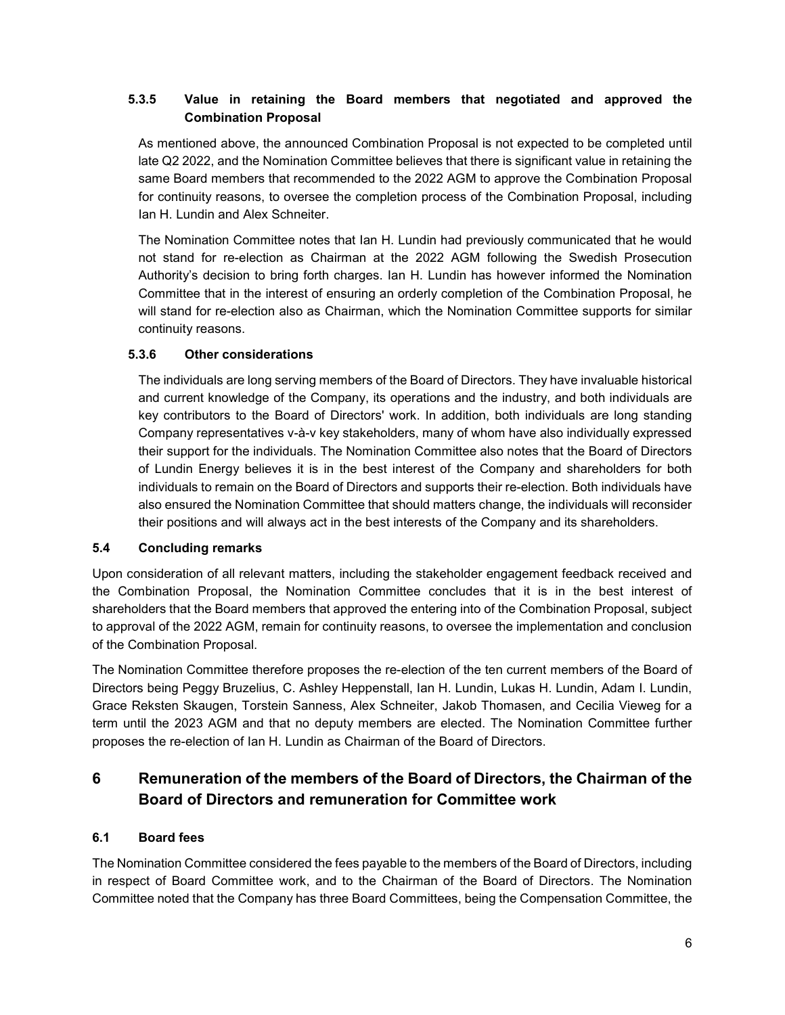### **5.3.5 Value in retaining the Board members that negotiated and approved the Combination Proposal**

As mentioned above, the announced Combination Proposal is not expected to be completed until late Q2 2022, and the Nomination Committee believes that there is significant value in retaining the same Board members that recommended to the 2022 AGM to approve the Combination Proposal for continuity reasons, to oversee the completion process of the Combination Proposal, including Ian H. Lundin and Alex Schneiter.

The Nomination Committee notes that Ian H. Lundin had previously communicated that he would not stand for re-election as Chairman at the 2022 AGM following the Swedish Prosecution Authority's decision to bring forth charges. Ian H. Lundin has however informed the Nomination Committee that in the interest of ensuring an orderly completion of the Combination Proposal, he will stand for re-election also as Chairman, which the Nomination Committee supports for similar continuity reasons.

#### **5.3.6 Other considerations**

The individuals are long serving members of the Board of Directors. They have invaluable historical and current knowledge of the Company, its operations and the industry, and both individuals are key contributors to the Board of Directors' work. In addition, both individuals are long standing Company representatives v-à-v key stakeholders, many of whom have also individually expressed their support for the individuals. The Nomination Committee also notes that the Board of Directors of Lundin Energy believes it is in the best interest of the Company and shareholders for both individuals to remain on the Board of Directors and supports their re-election. Both individuals have also ensured the Nomination Committee that should matters change, the individuals will reconsider their positions and will always act in the best interests of the Company and its shareholders.

#### **5.4 Concluding remarks**

Upon consideration of all relevant matters, including the stakeholder engagement feedback received and the Combination Proposal, the Nomination Committee concludes that it is in the best interest of shareholders that the Board members that approved the entering into of the Combination Proposal, subject to approval of the 2022 AGM, remain for continuity reasons, to oversee the implementation and conclusion of the Combination Proposal.

The Nomination Committee therefore proposes the re-election of the ten current members of the Board of Directors being Peggy Bruzelius, C. Ashley Heppenstall, Ian H. Lundin, Lukas H. Lundin, Adam I. Lundin, Grace Reksten Skaugen, Torstein Sanness, Alex Schneiter, Jakob Thomasen, and Cecilia Vieweg for a term until the 2023 AGM and that no deputy members are elected. The Nomination Committee further proposes the re-election of Ian H. Lundin as Chairman of the Board of Directors.

## **6 Remuneration of the members of the Board of Directors, the Chairman of the Board of Directors and remuneration for Committee work**

### **6.1 Board fees**

The Nomination Committee considered the fees payable to the members of the Board of Directors, including in respect of Board Committee work, and to the Chairman of the Board of Directors. The Nomination Committee noted that the Company has three Board Committees, being the Compensation Committee, the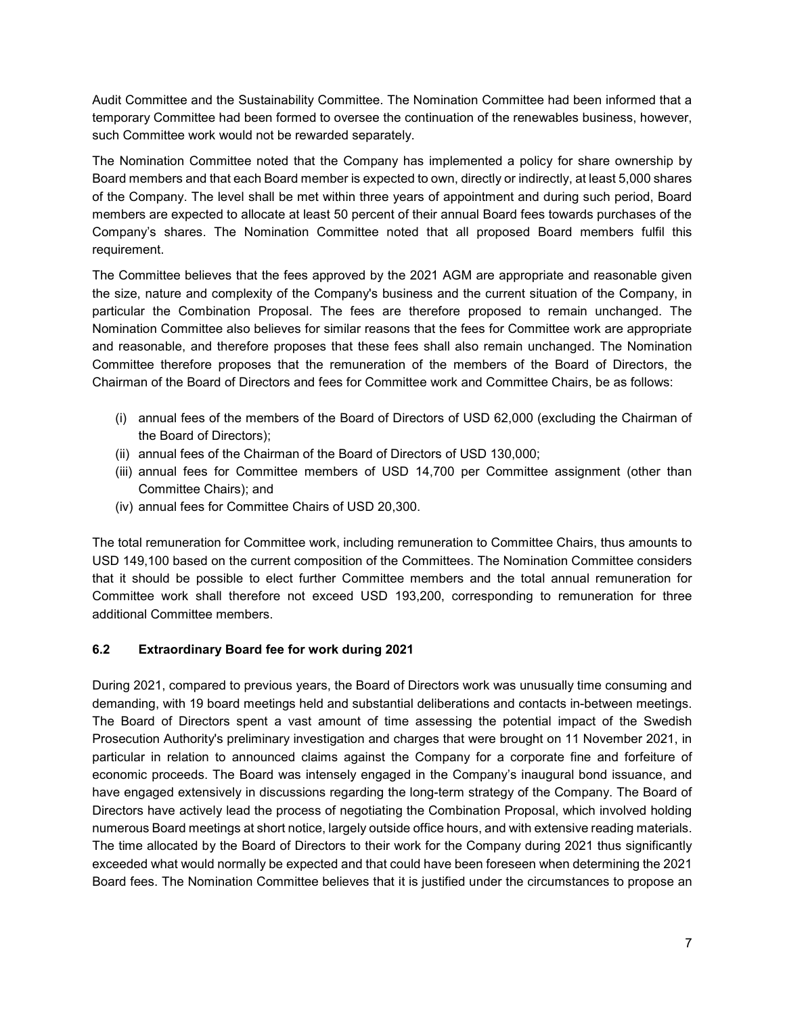Audit Committee and the Sustainability Committee. The Nomination Committee had been informed that a temporary Committee had been formed to oversee the continuation of the renewables business, however, such Committee work would not be rewarded separately.

The Nomination Committee noted that the Company has implemented a policy for share ownership by Board members and that each Board member is expected to own, directly or indirectly, at least 5,000 shares of the Company. The level shall be met within three years of appointment and during such period, Board members are expected to allocate at least 50 percent of their annual Board fees towards purchases of the Company's shares. The Nomination Committee noted that all proposed Board members fulfil this requirement.

The Committee believes that the fees approved by the 2021 AGM are appropriate and reasonable given the size, nature and complexity of the Company's business and the current situation of the Company, in particular the Combination Proposal. The fees are therefore proposed to remain unchanged. The Nomination Committee also believes for similar reasons that the fees for Committee work are appropriate and reasonable, and therefore proposes that these fees shall also remain unchanged. The Nomination Committee therefore proposes that the remuneration of the members of the Board of Directors, the Chairman of the Board of Directors and fees for Committee work and Committee Chairs, be as follows:

- (i) annual fees of the members of the Board of Directors of USD 62,000 (excluding the Chairman of the Board of Directors);
- (ii) annual fees of the Chairman of the Board of Directors of USD 130,000;
- (iii) annual fees for Committee members of USD 14,700 per Committee assignment (other than Committee Chairs); and
- (iv) annual fees for Committee Chairs of USD 20,300.

The total remuneration for Committee work, including remuneration to Committee Chairs, thus amounts to USD 149,100 based on the current composition of the Committees. The Nomination Committee considers that it should be possible to elect further Committee members and the total annual remuneration for Committee work shall therefore not exceed USD 193,200, corresponding to remuneration for three additional Committee members.

### **6.2 Extraordinary Board fee for work during 2021**

During 2021, compared to previous years, the Board of Directors work was unusually time consuming and demanding, with 19 board meetings held and substantial deliberations and contacts in-between meetings. The Board of Directors spent a vast amount of time assessing the potential impact of the Swedish Prosecution Authority's preliminary investigation and charges that were brought on 11 November 2021, in particular in relation to announced claims against the Company for a corporate fine and forfeiture of economic proceeds. The Board was intensely engaged in the Company's inaugural bond issuance, and have engaged extensively in discussions regarding the long-term strategy of the Company. The Board of Directors have actively lead the process of negotiating the Combination Proposal, which involved holding numerous Board meetings at short notice, largely outside office hours, and with extensive reading materials. The time allocated by the Board of Directors to their work for the Company during 2021 thus significantly exceeded what would normally be expected and that could have been foreseen when determining the 2021 Board fees. The Nomination Committee believes that it is justified under the circumstances to propose an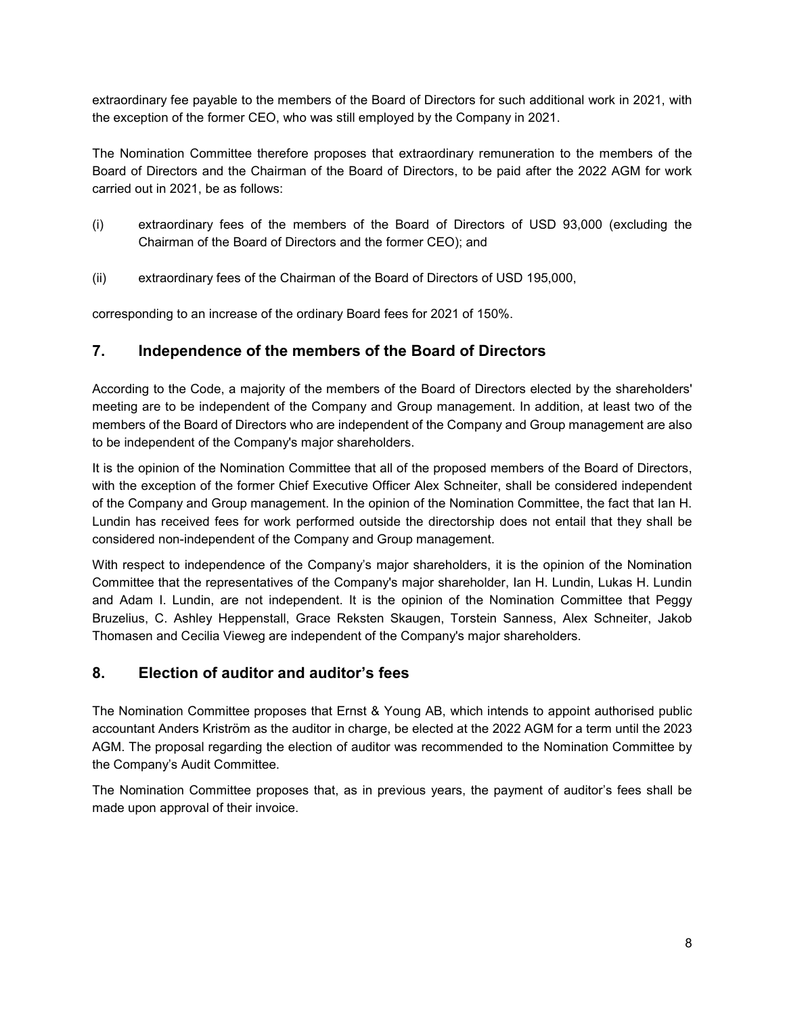extraordinary fee payable to the members of the Board of Directors for such additional work in 2021, with the exception of the former CEO, who was still employed by the Company in 2021.

The Nomination Committee therefore proposes that extraordinary remuneration to the members of the Board of Directors and the Chairman of the Board of Directors, to be paid after the 2022 AGM for work carried out in 2021, be as follows:

- (i) extraordinary fees of the members of the Board of Directors of USD 93,000 (excluding the Chairman of the Board of Directors and the former CEO); and
- (ii) extraordinary fees of the Chairman of the Board of Directors of USD 195,000,

corresponding to an increase of the ordinary Board fees for 2021 of 150%.

## **7. Independence of the members of the Board of Directors**

According to the Code, a majority of the members of the Board of Directors elected by the shareholders' meeting are to be independent of the Company and Group management. In addition, at least two of the members of the Board of Directors who are independent of the Company and Group management are also to be independent of the Company's major shareholders.

It is the opinion of the Nomination Committee that all of the proposed members of the Board of Directors, with the exception of the former Chief Executive Officer Alex Schneiter, shall be considered independent of the Company and Group management. In the opinion of the Nomination Committee, the fact that Ian H. Lundin has received fees for work performed outside the directorship does not entail that they shall be considered non-independent of the Company and Group management.

With respect to independence of the Company's major shareholders, it is the opinion of the Nomination Committee that the representatives of the Company's major shareholder, Ian H. Lundin, Lukas H. Lundin and Adam I. Lundin, are not independent. It is the opinion of the Nomination Committee that Peggy Bruzelius, C. Ashley Heppenstall, Grace Reksten Skaugen, Torstein Sanness, Alex Schneiter, Jakob Thomasen and Cecilia Vieweg are independent of the Company's major shareholders.

## **8. Election of auditor and auditor's fees**

The Nomination Committee proposes that Ernst & Young AB, which intends to appoint authorised public accountant Anders Kriström as the auditor in charge, be elected at the 2022 AGM for a term until the 2023 AGM. The proposal regarding the election of auditor was recommended to the Nomination Committee by the Company's Audit Committee.

The Nomination Committee proposes that, as in previous years, the payment of auditor's fees shall be made upon approval of their invoice.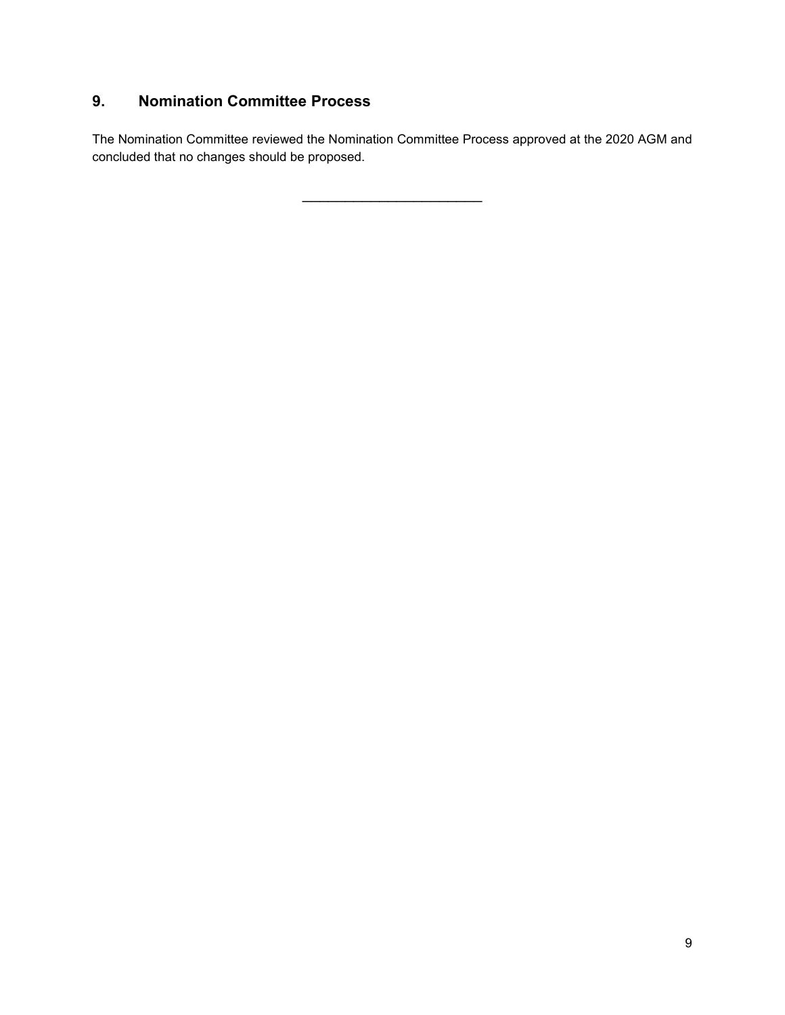## **9. Nomination Committee Process**

The Nomination Committee reviewed the Nomination Committee Process approved at the 2020 AGM and concluded that no changes should be proposed.

 $\overline{\phantom{a}}$  , where  $\overline{\phantom{a}}$  , where  $\overline{\phantom{a}}$  , where  $\overline{\phantom{a}}$  ,  $\overline{\phantom{a}}$  ,  $\overline{\phantom{a}}$  ,  $\overline{\phantom{a}}$  ,  $\overline{\phantom{a}}$  ,  $\overline{\phantom{a}}$  ,  $\overline{\phantom{a}}$  ,  $\overline{\phantom{a}}$  ,  $\overline{\phantom{a}}$  ,  $\overline{\phantom{a}}$  ,  $\overline{\phantom{a}}$  ,  $\overline{\phantom$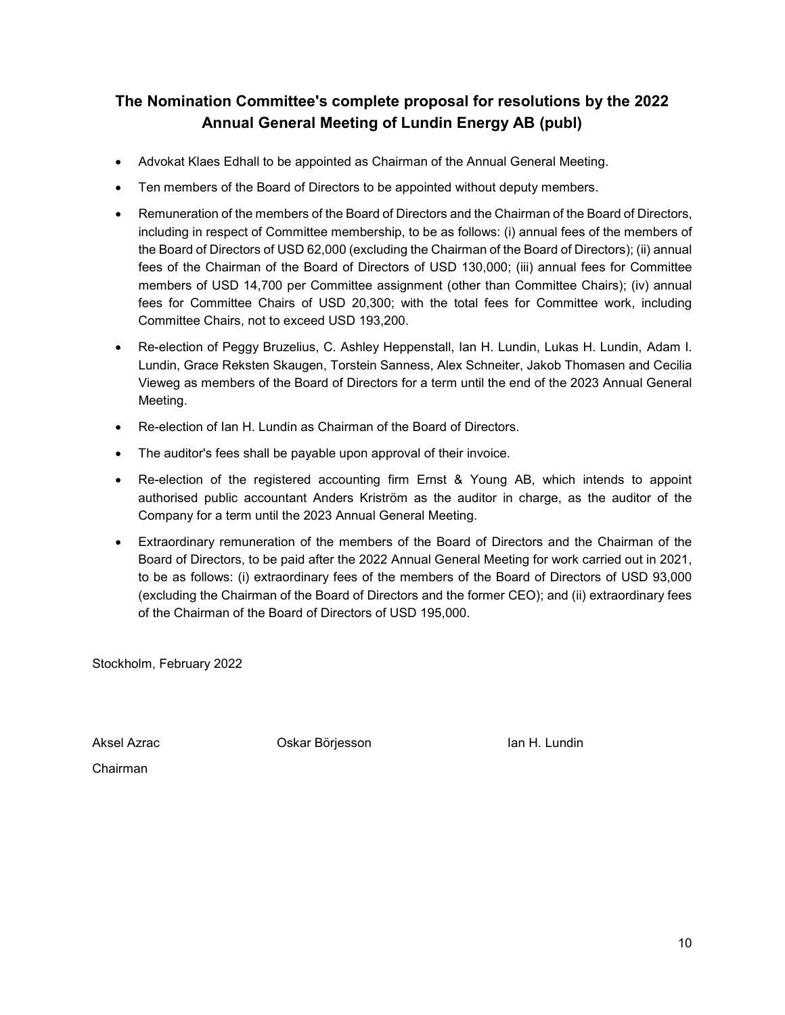## **The Nomination Committee's complete proposal for resolutions by the 2022 Annual General Meeting of Lundin Energy AB (publ)**

- Advokat Klaes Edhall to be appointed as Chairman of the Annual General Meeting.
- Ten members of the Board of Directors to be appointed without deputy members.
- Remuneration of the members of the Board of Directors and the Chairman of the Board of Directors, including in respect of Committee membership, to be as follows: (i) annual fees of the members of the Board of Directors of USD 62,000 (excluding the Chairman of the Board of Directors); (ii) annual fees of the Chairman of the Board of Directors of USD 130,000; (iii) annual fees for Committee members of USD 14,700 per Committee assignment (other than Committee Chairs); (iv) annual fees for Committee Chairs of USD 20,300; with the total fees for Committee work, including Committee Chairs, not to exceed USD 193,200.
- Re-election of Peggy Bruzelius, C. Ashley Heppenstall, Ian H. Lundin, Lukas H. Lundin, Adam I. Lundin, Grace Reksten Skaugen, Torstein Sanness, Alex Schneiter, Jakob Thomasen and Cecilia Vieweg as members of the Board of Directors for a term until the end of the 2023 Annual General Meeting.
- Re-election of Ian H. Lundin as Chairman of the Board of Directors.
- The auditor's fees shall be payable upon approval of their invoice.
- Re-election of the registered accounting firm Ernst & Young AB, which intends to appoint authorised public accountant Anders Kriström as the auditor in charge, as the auditor of the Company for a term until the 2023 Annual General Meeting.
- Extraordinary remuneration of the members of the Board of Directors and the Chairman of the Board of Directors, to be paid after the 2022 Annual General Meeting for work carried out in 2021, to be as follows: (i) extraordinary fees of the members of the Board of Directors of USD 93,000 (excluding the Chairman of the Board of Directors and the former CEO); and (ii) extraordinary fees of the Chairman of the Board of Directors of USD 195,000.

Stockholm, February 2022

Aksel Azrac **Oskar Börjesson** Ian H. Lundin

Chairman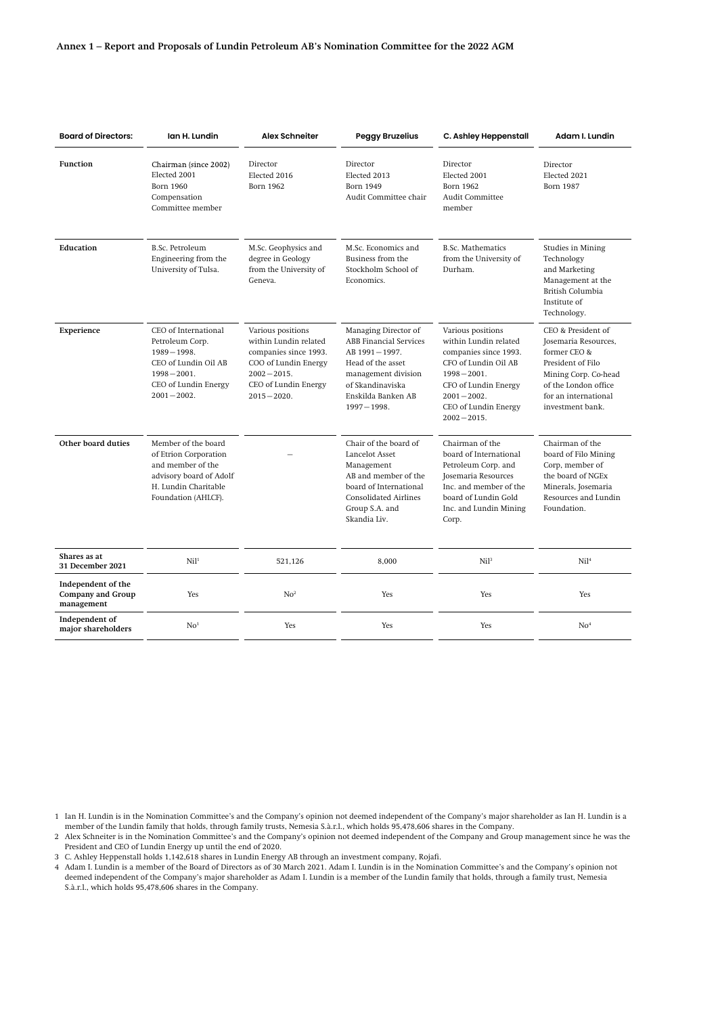| <b>Board of Directors:</b>                                   | Ian H. Lundin                                                                                                                                  | <b>Alex Schneiter</b>                                                                                                                                   | <b>Peggy Bruzelius</b>                                                                                                                                                         | C. Ashley Heppenstall                                                                                                                                                                               | Adam I. Lundin                                                                                                                                                              |
|--------------------------------------------------------------|------------------------------------------------------------------------------------------------------------------------------------------------|---------------------------------------------------------------------------------------------------------------------------------------------------------|--------------------------------------------------------------------------------------------------------------------------------------------------------------------------------|-----------------------------------------------------------------------------------------------------------------------------------------------------------------------------------------------------|-----------------------------------------------------------------------------------------------------------------------------------------------------------------------------|
| Function                                                     | Chairman (since 2002)<br>Elected 2001<br>Born 1960<br>Compensation<br>Committee member                                                         | Director<br>Elected 2016<br>Born 1962                                                                                                                   | Director<br>Elected 2013<br><b>Born 1949</b><br>Audit Committee chair                                                                                                          | Director<br>Elected 2001<br>Born 1962<br>Audit Committee<br>member                                                                                                                                  | Director<br>Elected 2021<br><b>Born 1987</b>                                                                                                                                |
| Education                                                    | <b>B.Sc. Petroleum</b><br>Engineering from the<br>University of Tulsa.                                                                         | M.Sc. Geophysics and<br>degree in Geology<br>from the University of<br>Geneva.                                                                          | M.Sc. Economics and<br>Business from the<br>Stockholm School of<br>Economics.                                                                                                  | <b>B.Sc. Mathematics</b><br>from the University of<br>Durham.                                                                                                                                       | Studies in Mining<br>Technology<br>and Marketing<br>Management at the<br>British Columbia<br>Institute of<br>Technology.                                                    |
| Experience                                                   | CEO of International<br>Petroleum Corp.<br>$1989 - 1998.$<br>CEO of Lundin Oil AB<br>$1998 - 2001.$<br>CEO of Lundin Energy<br>$2001 - 2002$ . | Various positions<br>within Lundin related<br>companies since 1993.<br>COO of Lundin Energy<br>$2002 - 2015.$<br>CEO of Lundin Energy<br>$2015 - 2020.$ | Managing Director of<br><b>ABB</b> Financial Services<br>AB 1991-1997.<br>Head of the asset<br>management division<br>of Skandinaviska<br>Enskilda Banken AB<br>$1997 - 1998.$ | Various positions<br>within Lundin related<br>companies since 1993.<br>CFO of Lundin Oil AB<br>$1998 - 2001$ .<br>CFO of Lundin Energy<br>$2001 - 2002$ .<br>CEO of Lundin Energy<br>$2002 - 2015.$ | CEO & President of<br>Josemaria Resources,<br>former CEO &<br>President of Filo<br>Mining Corp. Co-head<br>of the London office<br>for an international<br>investment bank. |
| Other board duties                                           | Member of the board<br>of Etrion Corporation<br>and member of the<br>advisory board of Adolf<br>H. Lundin Charitable<br>Foundation (AHLCF).    |                                                                                                                                                         | Chair of the board of<br>Lancelot Asset<br>Management<br>AB and member of the<br>board of International<br><b>Consolidated Airlines</b><br>Group S.A. and<br>Skandia Liv.      | Chairman of the<br>board of International<br>Petroleum Corp. and<br>Josemaria Resources<br>Inc. and member of the<br>board of Lundin Gold<br>Inc. and Lundin Mining<br>Corp.                        | Chairman of the<br>board of Filo Mining<br>Corp, member of<br>the board of NGEx<br>Minerals, Josemaria<br>Resources and Lundin<br>Foundation.                               |
| Shares as at<br>31 December 2021                             | Ni1 <sup>1</sup>                                                                                                                               | 521.126                                                                                                                                                 | 8.000                                                                                                                                                                          | Ni1 <sup>3</sup>                                                                                                                                                                                    | Ni <sup>14</sup>                                                                                                                                                            |
| Independent of the<br><b>Company and Group</b><br>management | Yes                                                                                                                                            | No <sup>2</sup>                                                                                                                                         | Yes                                                                                                                                                                            | Yes                                                                                                                                                                                                 | Yes                                                                                                                                                                         |
| Independent of<br>major shareholders                         | No <sup>1</sup>                                                                                                                                | Yes                                                                                                                                                     | Yes                                                                                                                                                                            | Yes                                                                                                                                                                                                 | No <sup>4</sup>                                                                                                                                                             |

1 Ian H. Lundin is in the Nomination Committee's and the Company's opinion not deemed independent of the Company's major shareholder as Ian H. Lundin is a member of the Lundin family that holds, through family trusts, Nemesia S.à.r.l., which holds 95,478,606 shares in the Company.

2 Alex Schneiter is in the Nomination Committee's and the Company's opinion not deemed independent of the Company and Group management since he was the President and CEO of Lundin Energy up until the end of 2020.

3 C. Ashley Heppenstall holds 1,142,618 shares in Lundin Energy AB through an investment company, Rojafi.

4 Adam I. Lundin is a member of the Board of Directors as of 30 March 2021. Adam I. Lundin is in the Nomination Committee's and the Company's opinion not deemed independent of the Company's major shareholder as Adam I. Lundin is a member of the Lundin family that holds, through a family trust, Nemesia S.à.r.l., which holds 95,478,606 shares in the Company.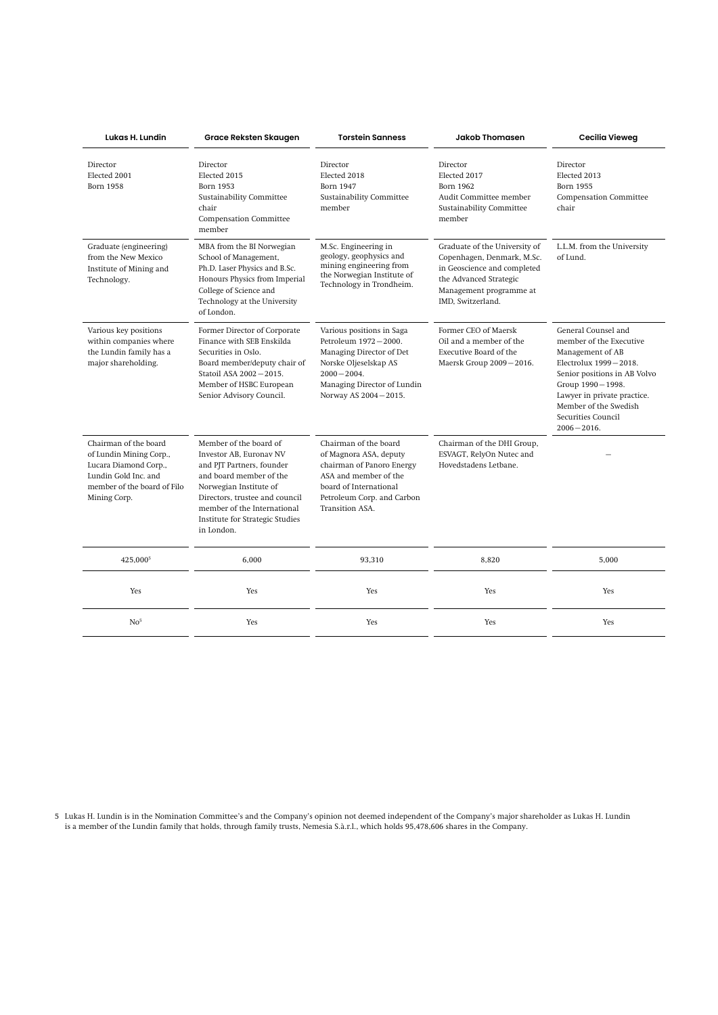| Lukas H. Lundin                                                                                                                                  | Grace Reksten Skaugen                                                                                                                                                                                                                                 | <b>Torstein Sanness</b>                                                                                                                                                          | <b>Jakob Thomasen</b>                                                                                                                                                | <b>Cecilia Vieweg</b>                                                                                                                                                                                                                           |
|--------------------------------------------------------------------------------------------------------------------------------------------------|-------------------------------------------------------------------------------------------------------------------------------------------------------------------------------------------------------------------------------------------------------|----------------------------------------------------------------------------------------------------------------------------------------------------------------------------------|----------------------------------------------------------------------------------------------------------------------------------------------------------------------|-------------------------------------------------------------------------------------------------------------------------------------------------------------------------------------------------------------------------------------------------|
| Director<br>Elected 2001<br><b>Born 1958</b>                                                                                                     | Director<br>Elected 2015<br><b>Born 1953</b><br><b>Sustainability Committee</b><br>chair<br><b>Compensation Committee</b><br>member                                                                                                                   | Director<br>Elected 2018<br><b>Born 1947</b><br><b>Sustainability Committee</b><br>member                                                                                        | Director<br>Elected 2017<br><b>Born 1962</b><br>Audit Committee member<br>Sustainability Committee<br>member                                                         | Director<br>Elected 2013<br>Born 1955<br><b>Compensation Committee</b><br>chair                                                                                                                                                                 |
| Graduate (engineering)<br>from the New Mexico<br>Institute of Mining and<br>Technology.                                                          | MBA from the BI Norwegian<br>School of Management,<br>Ph.D. Laser Physics and B.Sc.<br>Honours Physics from Imperial<br>College of Science and<br>Technology at the University<br>of London.                                                          | M.Sc. Engineering in<br>geology, geophysics and<br>mining engineering from<br>the Norwegian Institute of<br>Technology in Trondheim.                                             | Graduate of the University of<br>Copenhagen, Denmark, M.Sc.<br>in Geoscience and completed<br>the Advanced Strategic<br>Management programme at<br>IMD, Switzerland. | L.L.M. from the University<br>of Lund.                                                                                                                                                                                                          |
| Various key positions<br>within companies where<br>the Lundin family has a<br>major shareholding.                                                | Former Director of Corporate<br>Finance with SEB Enskilda<br>Securities in Oslo.<br>Board member/deputy chair of<br>Statoil ASA 2002-2015.<br>Member of HSBC European<br>Senior Advisory Council.                                                     | Various positions in Saga<br>Petroleum 1972-2000.<br>Managing Director of Det<br>Norske Oljeselskap AS<br>$2000 - 2004.$<br>Managing Director of Lundin<br>Norway AS 2004-2015.  | Former CEO of Maersk<br>Oil and a member of the<br>Executive Board of the<br>Maersk Group 2009-2016.                                                                 | General Counsel and<br>member of the Executive<br>Management of AB<br>Electrolux 1999-2018.<br>Senior positions in AB Volvo<br>Group 1990-1998.<br>Lawyer in private practice.<br>Member of the Swedish<br>Securities Council<br>$2006 - 2016.$ |
| Chairman of the board<br>of Lundin Mining Corp.,<br>Lucara Diamond Corp.,<br>Lundin Gold Inc. and<br>member of the board of Filo<br>Mining Corp. | Member of the board of<br>Investor AB. Euronav NV<br>and PJT Partners, founder<br>and board member of the<br>Norwegian Institute of<br>Directors, trustee and council<br>member of the International<br>Institute for Strategic Studies<br>in London. | Chairman of the board<br>of Magnora ASA, deputy<br>chairman of Panoro Energy<br>ASA and member of the<br>board of International<br>Petroleum Corp. and Carbon<br>Transition ASA. | Chairman of the DHI Group,<br>ESVAGT, RelyOn Nutec and<br>Hovedstadens Letbane.                                                                                      |                                                                                                                                                                                                                                                 |
| 425,000 <sup>5</sup>                                                                                                                             | 6,000                                                                                                                                                                                                                                                 | 93,310                                                                                                                                                                           | 8,820                                                                                                                                                                | 5,000                                                                                                                                                                                                                                           |
| Yes                                                                                                                                              | Yes                                                                                                                                                                                                                                                   | Yes                                                                                                                                                                              | Yes                                                                                                                                                                  | Yes                                                                                                                                                                                                                                             |
| No <sup>5</sup>                                                                                                                                  | Yes                                                                                                                                                                                                                                                   | Yes                                                                                                                                                                              | Yes                                                                                                                                                                  | Yes                                                                                                                                                                                                                                             |

5 Lukas H. Lundin is in the Nomination Committee's and the Company's opinion not deemed independent of the Company's major shareholder as Lukas H. Lundin is a member of the Lundin family that holds, through family trusts, Nemesia S.à.r.l., which holds 95,478,606 shares in the Company.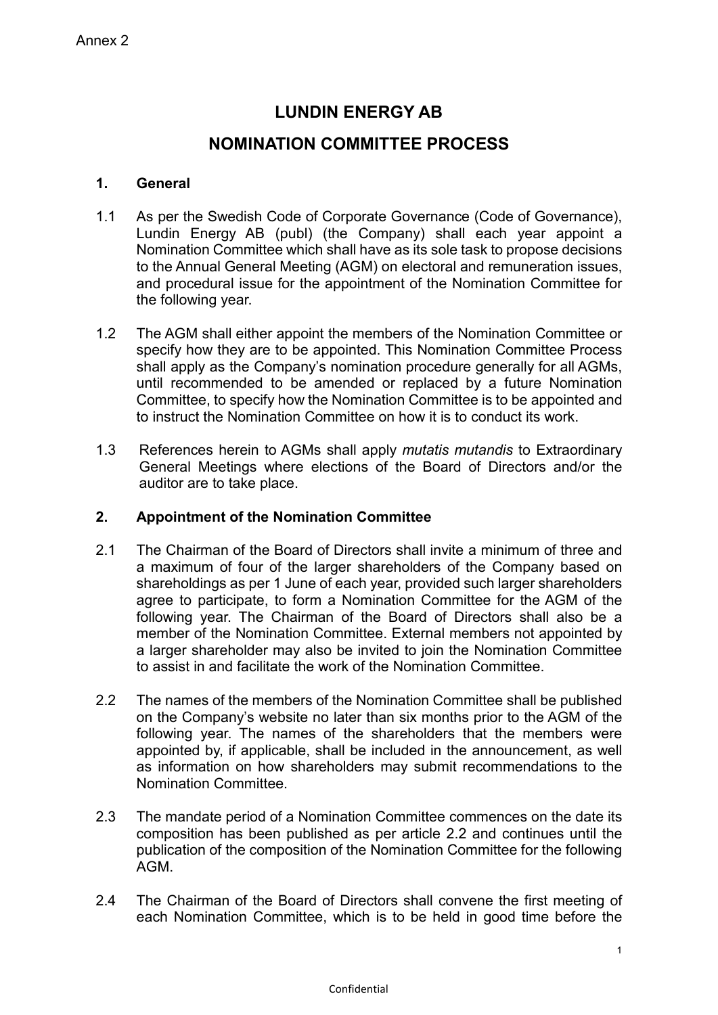# **LUNDIN ENERGY AB**

## **NOMINATION COMMITTEE PROCESS**

## **1. General**

- 1.1 As per the Swedish Code of Corporate Governance (Code of Governance), Lundin Energy AB (publ) (the Company) shall each year appoint a Nomination Committee which shall have as its sole task to propose decisions to the Annual General Meeting (AGM) on electoral and remuneration issues, and procedural issue for the appointment of the Nomination Committee for the following year.
- 1.2 The AGM shall either appoint the members of the Nomination Committee or specify how they are to be appointed. This Nomination Committee Process shall apply as the Company's nomination procedure generally for all AGMs, until recommended to be amended or replaced by a future Nomination Committee, to specify how the Nomination Committee is to be appointed and to instruct the Nomination Committee on how it is to conduct its work.
- 1.3 References herein to AGMs shall apply *mutatis mutandis* to Extraordinary General Meetings where elections of the Board of Directors and/or the auditor are to take place.

## **2. Appointment of the Nomination Committee**

- 2.1 The Chairman of the Board of Directors shall invite a minimum of three and a maximum of four of the larger shareholders of the Company based on shareholdings as per 1 June of each year, provided such larger shareholders agree to participate, to form a Nomination Committee for the AGM of the following year. The Chairman of the Board of Directors shall also be a member of the Nomination Committee. External members not appointed by a larger shareholder may also be invited to join the Nomination Committee to assist in and facilitate the work of the Nomination Committee.
- 2.2 The names of the members of the Nomination Committee shall be published on the Company's website no later than six months prior to the AGM of the following year. The names of the shareholders that the members were appointed by, if applicable, shall be included in the announcement, as well as information on how shareholders may submit recommendations to the Nomination Committee.
- 2.3 The mandate period of a Nomination Committee commences on the date its composition has been published as per article 2.2 and continues until the publication of the composition of the Nomination Committee for the following AGM.
- 2.4 The Chairman of the Board of Directors shall convene the first meeting of each Nomination Committee, which is to be held in good time before the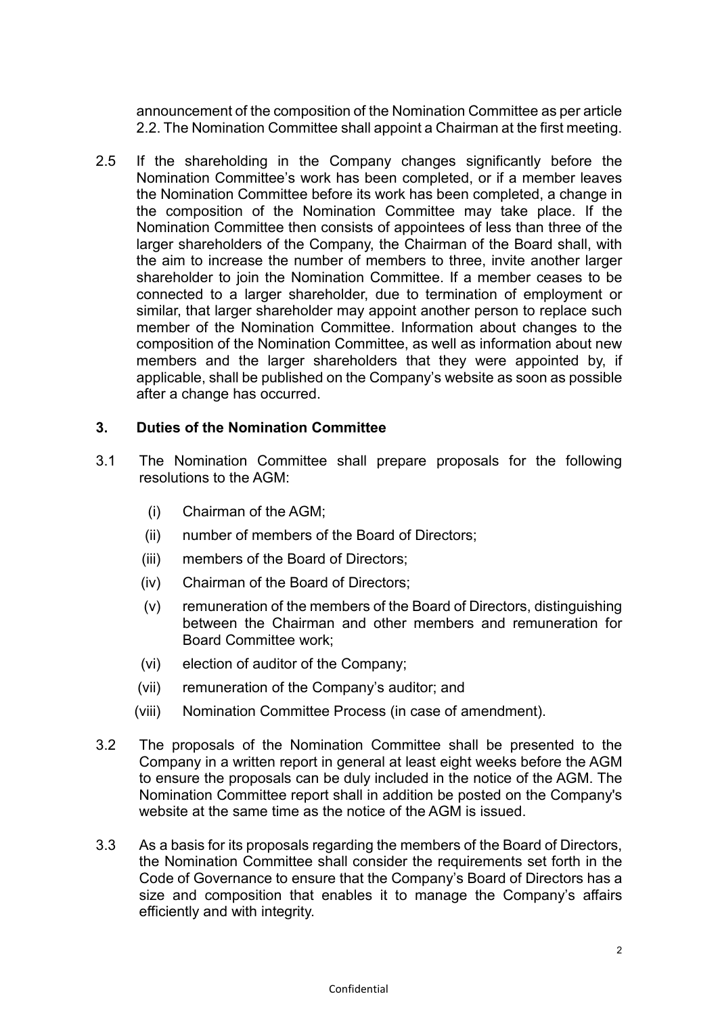announcement of the composition of the Nomination Committee as per article 2.2. The Nomination Committee shall appoint a Chairman at the first meeting.

2.5 If the shareholding in the Company changes significantly before the Nomination Committee's work has been completed, or if a member leaves the Nomination Committee before its work has been completed, a change in the composition of the Nomination Committee may take place. If the Nomination Committee then consists of appointees of less than three of the larger shareholders of the Company, the Chairman of the Board shall, with the aim to increase the number of members to three, invite another larger shareholder to join the Nomination Committee. If a member ceases to be connected to a larger shareholder, due to termination of employment or similar, that larger shareholder may appoint another person to replace such member of the Nomination Committee. Information about changes to the composition of the Nomination Committee, as well as information about new members and the larger shareholders that they were appointed by, if applicable, shall be published on the Company's website as soon as possible after a change has occurred.

### **3. Duties of the Nomination Committee**

- 3.1 The Nomination Committee shall prepare proposals for the following resolutions to the AGM:
	- (i) Chairman of the AGM;
	- (ii) number of members of the Board of Directors;
	- (iii) members of the Board of Directors;
	- (iv) Chairman of the Board of Directors;
	- (v) remuneration of the members of the Board of Directors, distinguishing between the Chairman and other members and remuneration for Board Committee work;
	- (vi) election of auditor of the Company;
	- (vii) remuneration of the Company's auditor; and
	- (viii) Nomination Committee Process (in case of amendment).
- 3.2 The proposals of the Nomination Committee shall be presented to the Company in a written report in general at least eight weeks before the AGM to ensure the proposals can be duly included in the notice of the AGM. The Nomination Committee report shall in addition be posted on the Company's website at the same time as the notice of the AGM is issued.
- 3.3 As a basis for its proposals regarding the members of the Board of Directors, the Nomination Committee shall consider the requirements set forth in the Code of Governance to ensure that the Company's Board of Directors has a size and composition that enables it to manage the Company's affairs efficiently and with integrity.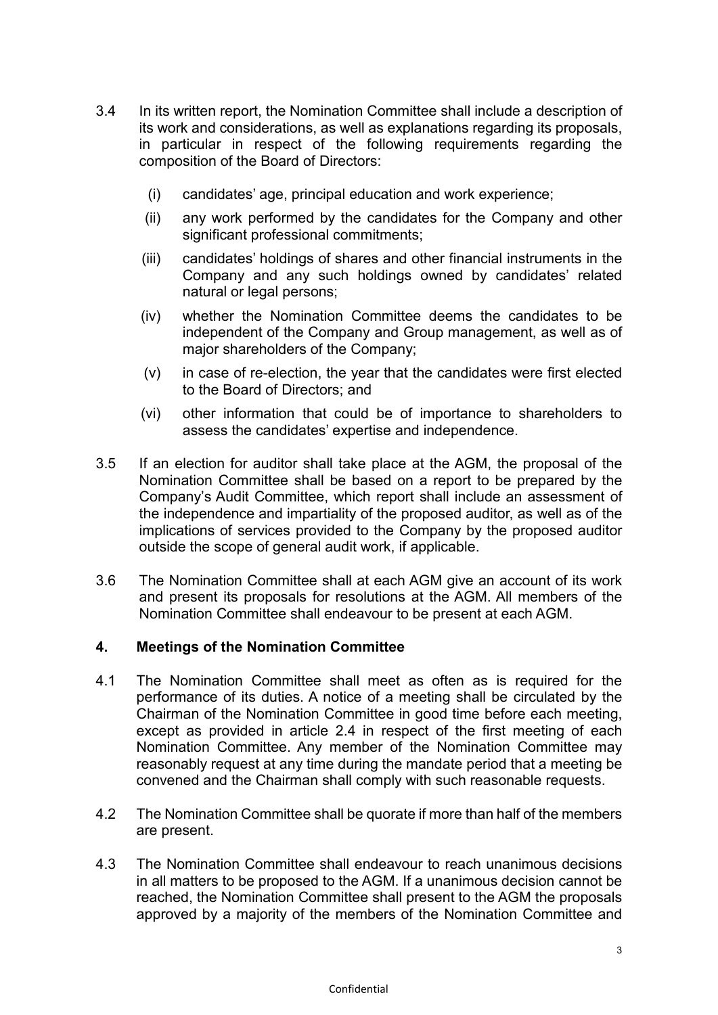- 3.4 In its written report, the Nomination Committee shall include a description of its work and considerations, as well as explanations regarding its proposals, in particular in respect of the following requirements regarding the composition of the Board of Directors:
	- (i) candidates' age, principal education and work experience;
	- (ii) any work performed by the candidates for the Company and other significant professional commitments;
	- (iii) candidates' holdings of shares and other financial instruments in the Company and any such holdings owned by candidates' related natural or legal persons;
	- (iv) whether the Nomination Committee deems the candidates to be independent of the Company and Group management, as well as of major shareholders of the Company;
	- (v) in case of re-election, the year that the candidates were first elected to the Board of Directors; and
	- (vi) other information that could be of importance to shareholders to assess the candidates' expertise and independence.
- 3.5 If an election for auditor shall take place at the AGM, the proposal of the Nomination Committee shall be based on a report to be prepared by the Company's Audit Committee, which report shall include an assessment of the independence and impartiality of the proposed auditor, as well as of the implications of services provided to the Company by the proposed auditor outside the scope of general audit work, if applicable.
- 3.6 The Nomination Committee shall at each AGM give an account of its work and present its proposals for resolutions at the AGM. All members of the Nomination Committee shall endeavour to be present at each AGM.

## **4. Meetings of the Nomination Committee**

- 4.1 The Nomination Committee shall meet as often as is required for the performance of its duties. A notice of a meeting shall be circulated by the Chairman of the Nomination Committee in good time before each meeting, except as provided in article 2.4 in respect of the first meeting of each Nomination Committee. Any member of the Nomination Committee may reasonably request at any time during the mandate period that a meeting be convened and the Chairman shall comply with such reasonable requests.
- 4.2 The Nomination Committee shall be quorate if more than half of the members are present.
- 4.3 The Nomination Committee shall endeavour to reach unanimous decisions in all matters to be proposed to the AGM. If a unanimous decision cannot be reached, the Nomination Committee shall present to the AGM the proposals approved by a majority of the members of the Nomination Committee and